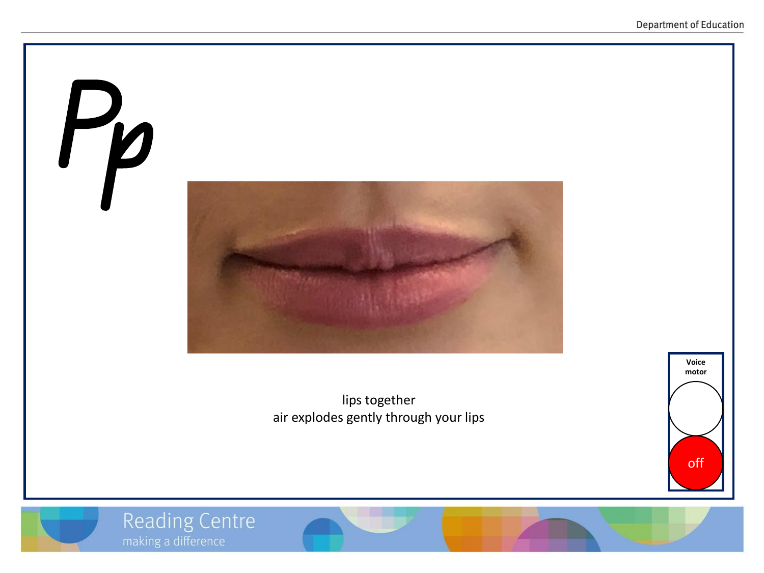

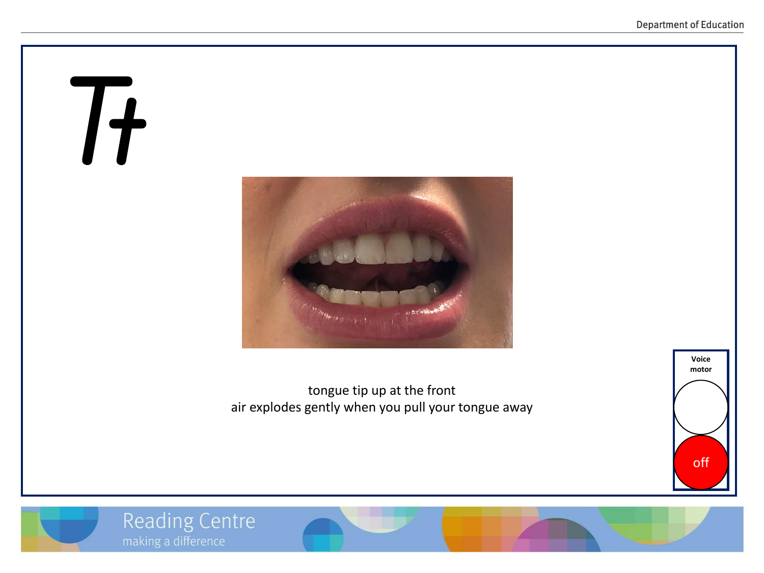# Tt



tongue tip up at the front air explodes gently when you pull your tongue away





**Reading Centre** 

making a difference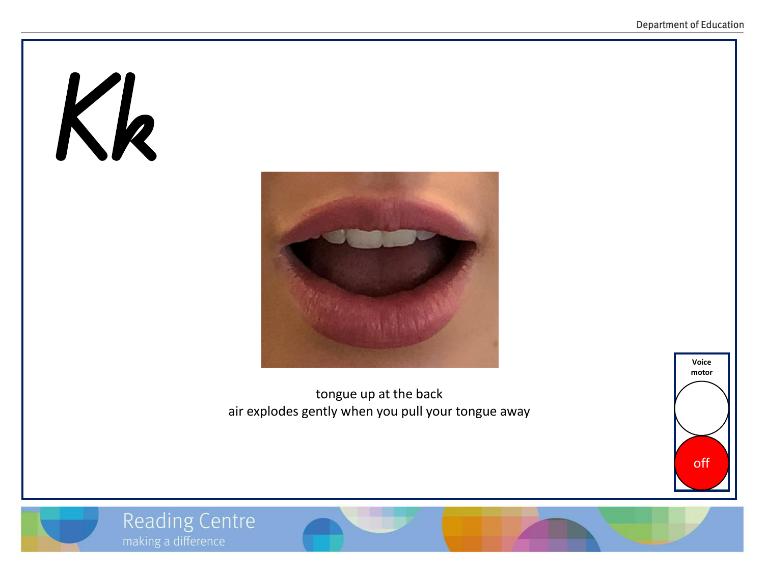# Kk



tongue up at the back air explodes gently when you pull your tongue away



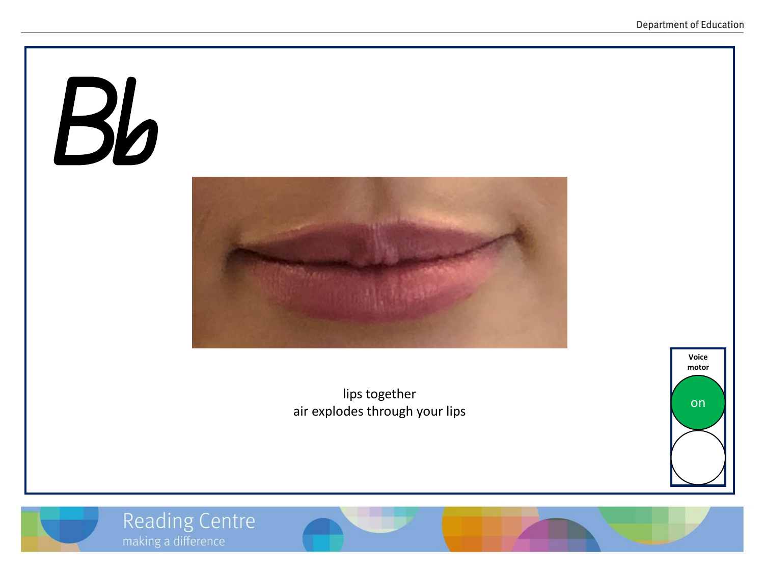# Bb



lips together air explodes through your lips



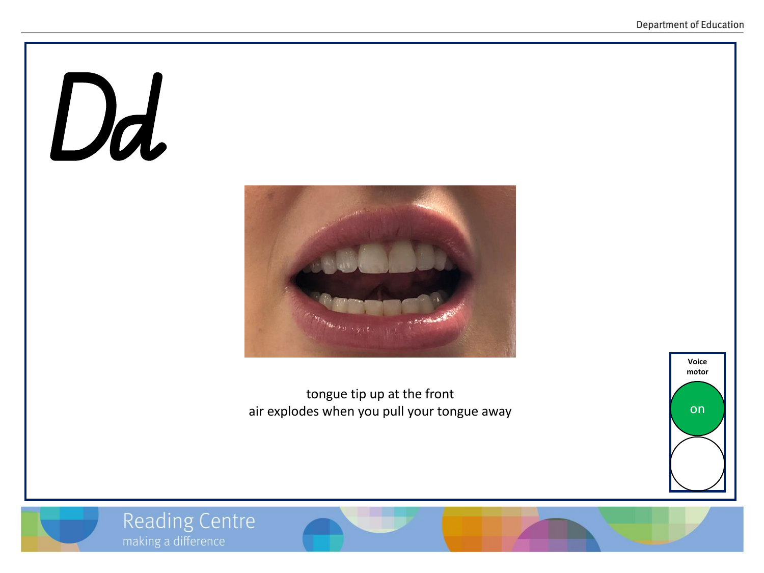#### Dd



tongue tip up at the front air explodes when you pull your tongue away



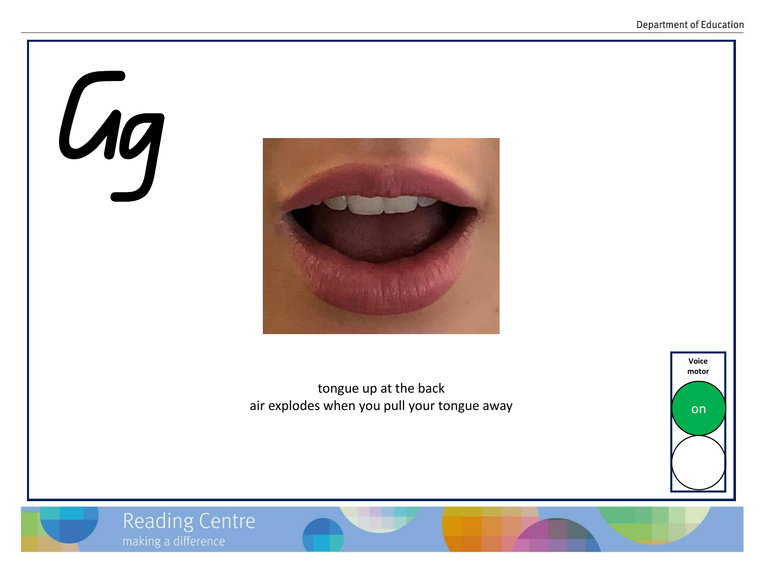# **Gg**



tongue up at the back air explodes when you pull your tongue away



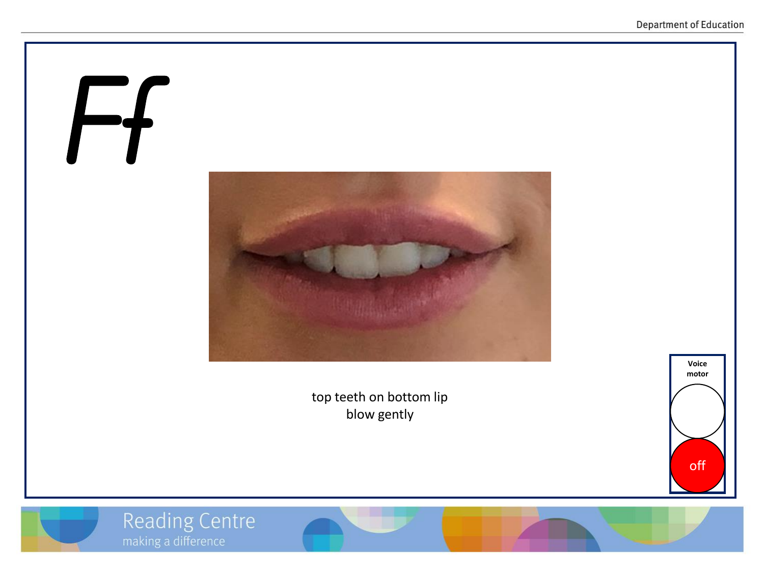# Ff

top teeth on bottom lip blow gently





Reading Centre<br>
making a difference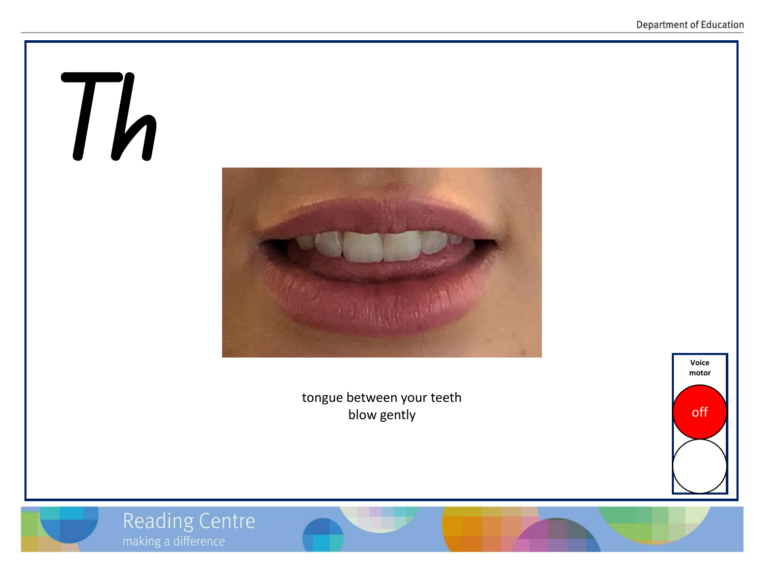# Th

tongue between your teeth blow gently





**Reading Centre** 

making a difference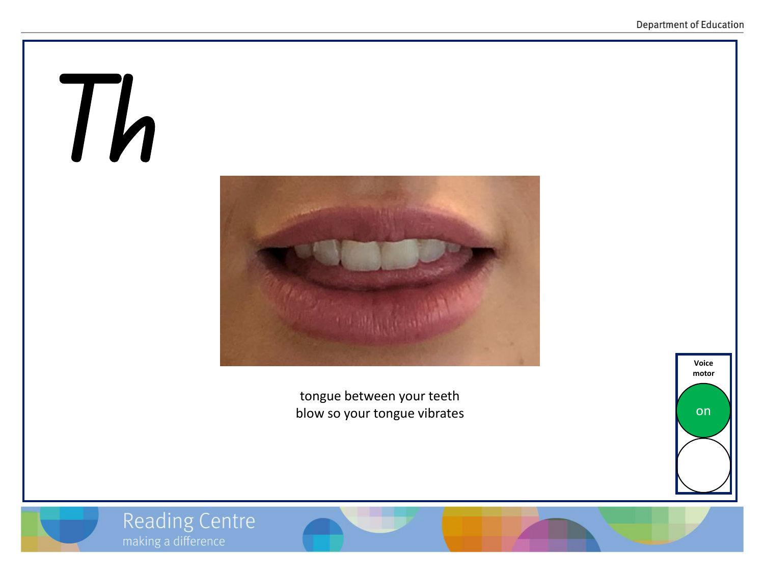#### Th



tongue between your teeth blow so your tongue vibrates



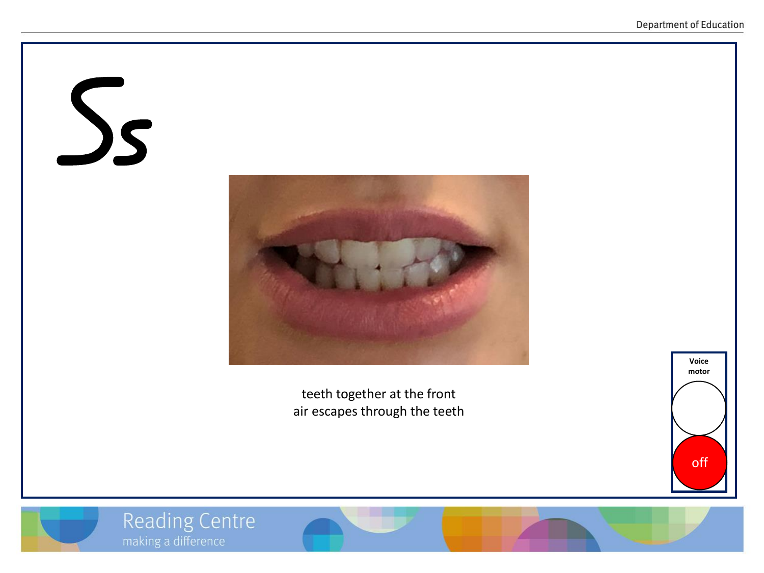# Ss



teeth together at the front air escapes through the teeth



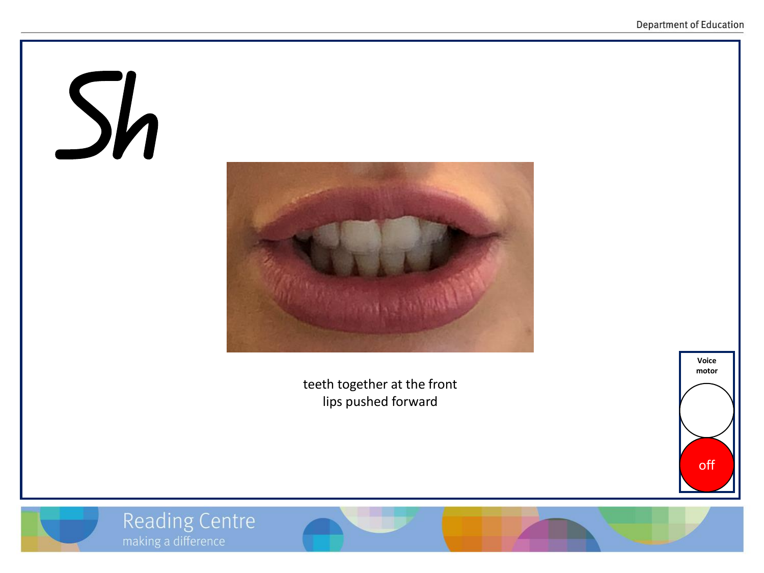# Sh



teeth together at the front lips pushed forward





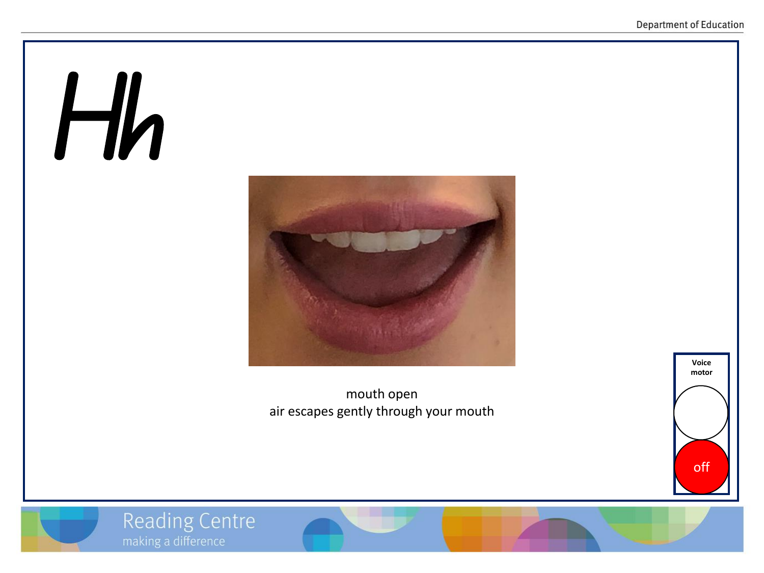# Hh



mouth open air escapes gently through your mouth



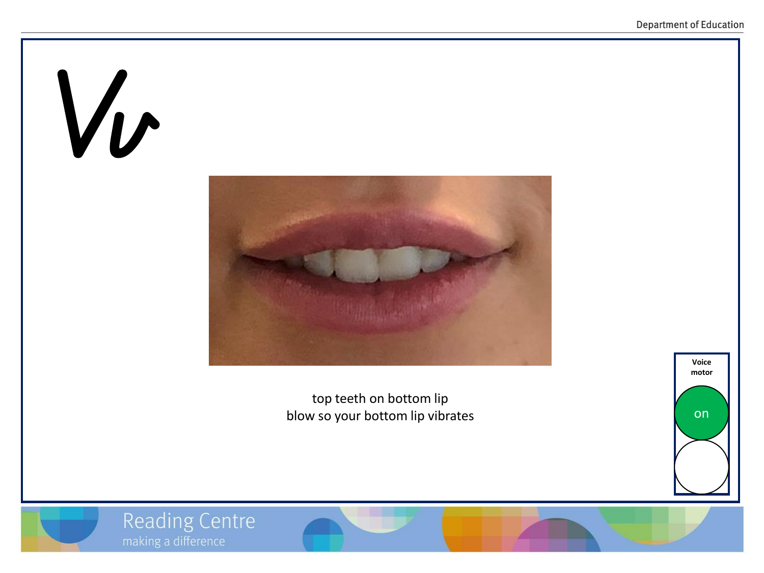

**Reading Centre** 



top teeth on bottom lip blow so your bottom lip vibrates



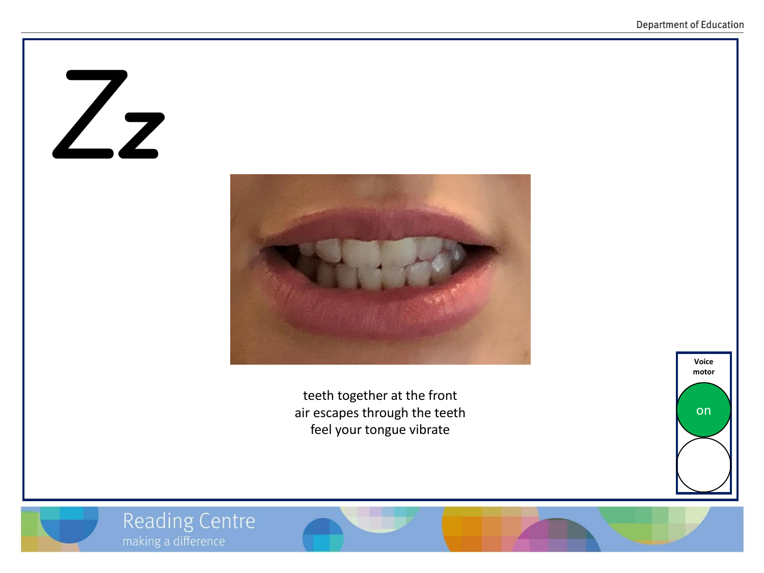#### Zz



teeth together at the front air escapes through the teeth feel your tongue vibrate



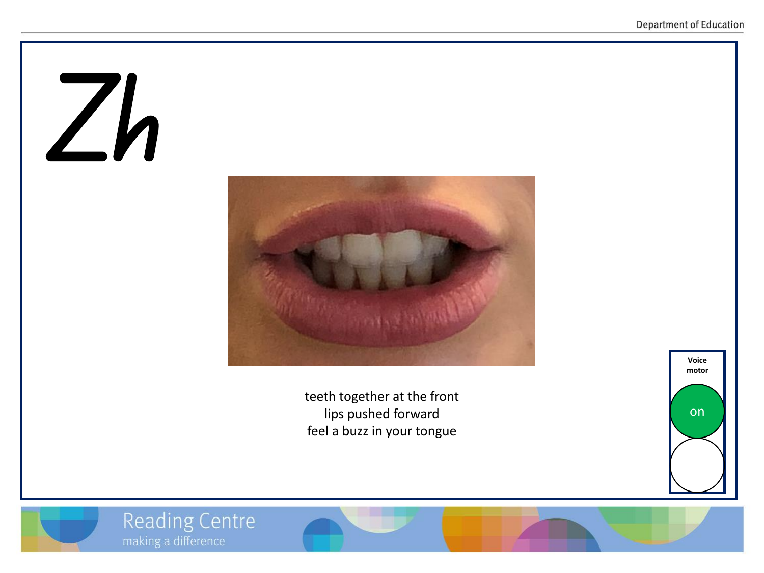# Zh



teeth together at the front lips pushed forward feel a buzz in your tongue



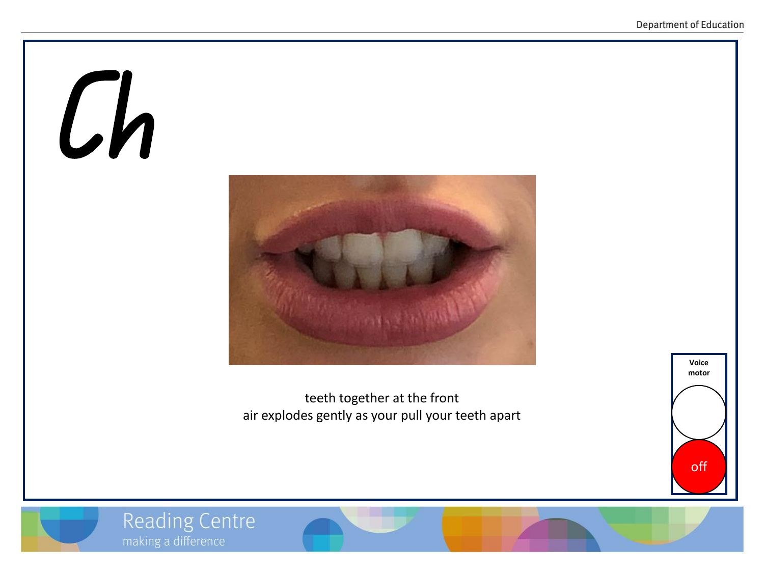# Ch



teeth together at the front air explodes gently as your pull your teeth apart



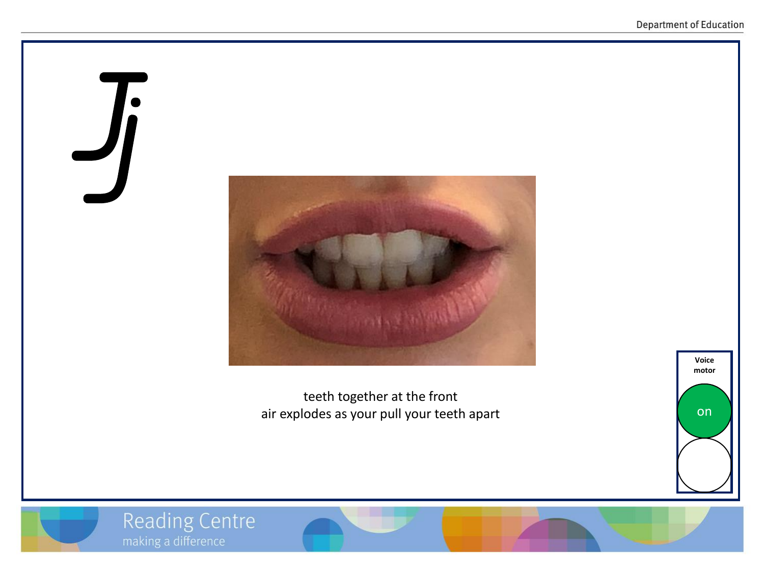# Jj



teeth together at the front air explodes as your pull your teeth apart





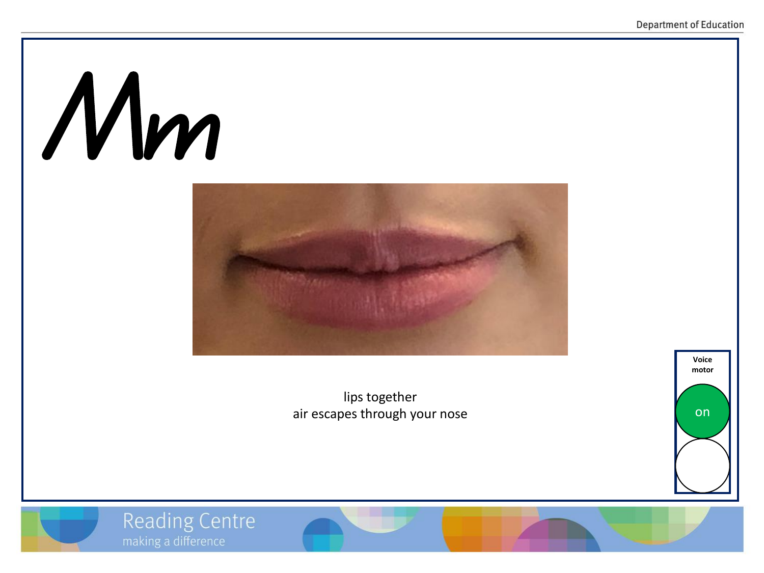# Mm



lips together air escapes through your nose



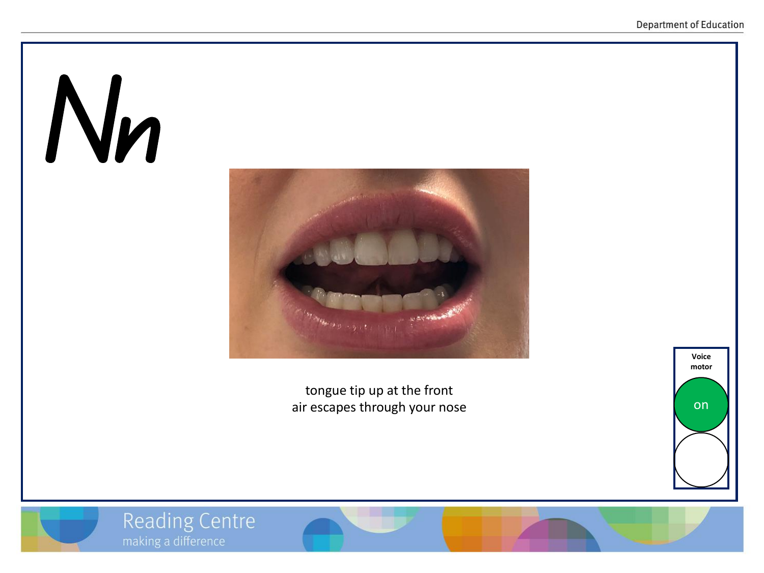# Nn



tongue tip up at the front air escapes through your nose



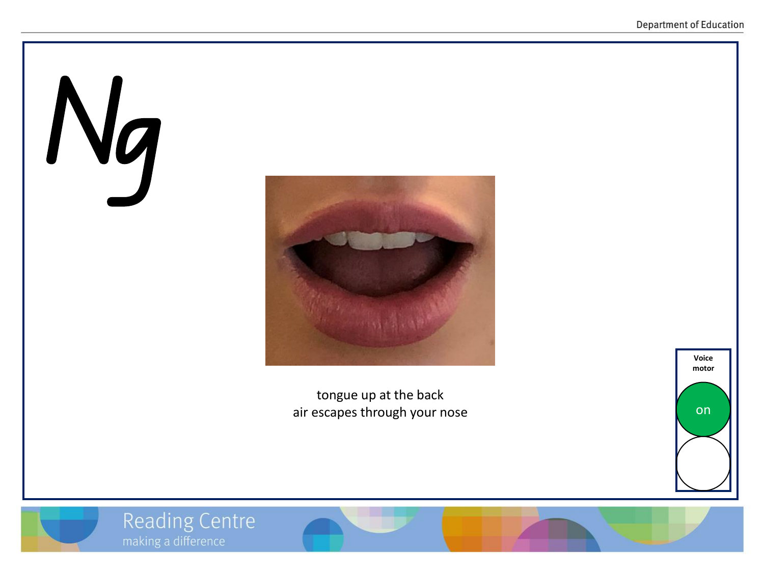# Ng



tongue up at the back air escapes through your nose



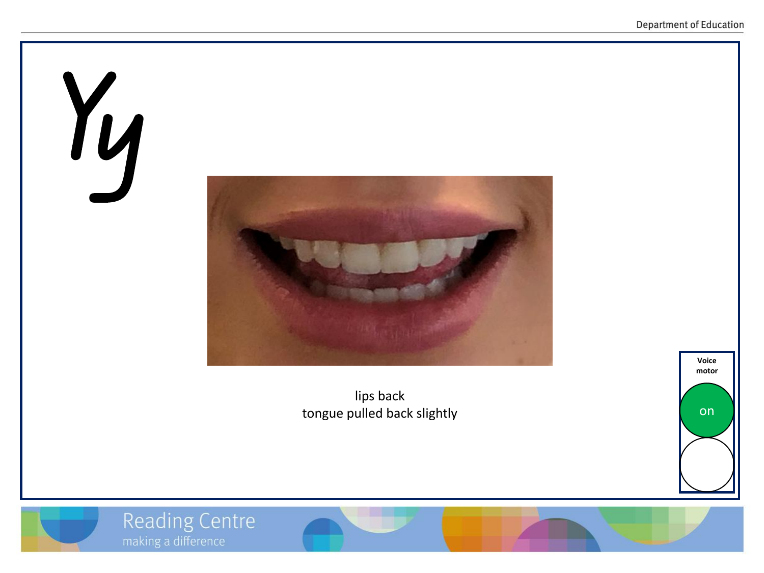

lips back tongue pulled back slightly



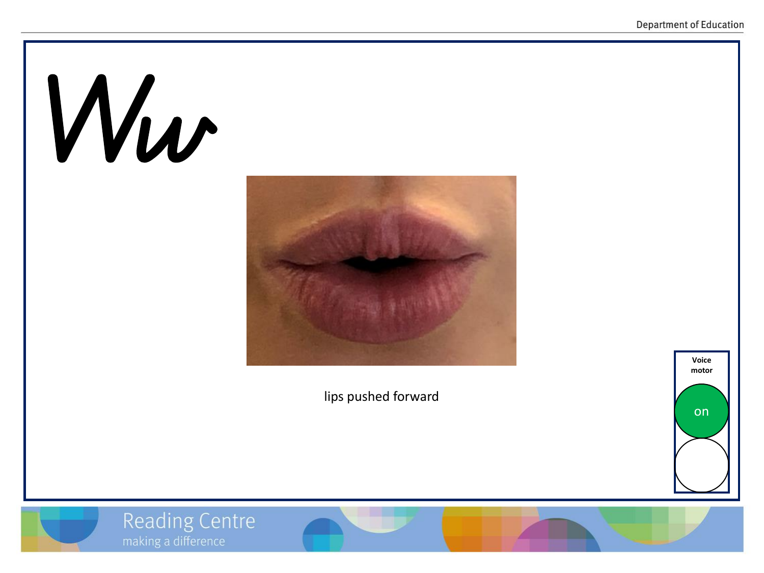# Ww



lips pushed forward



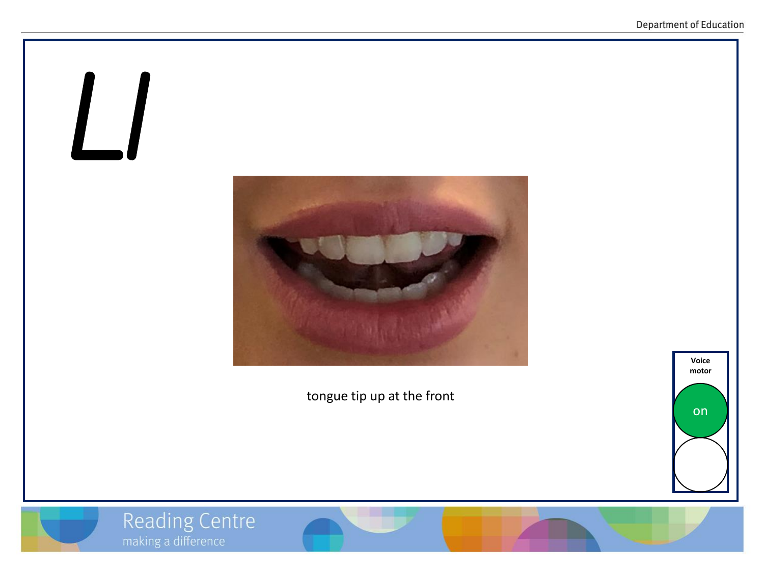

tongue tip up at the front





Reading Centre<br>
making a difference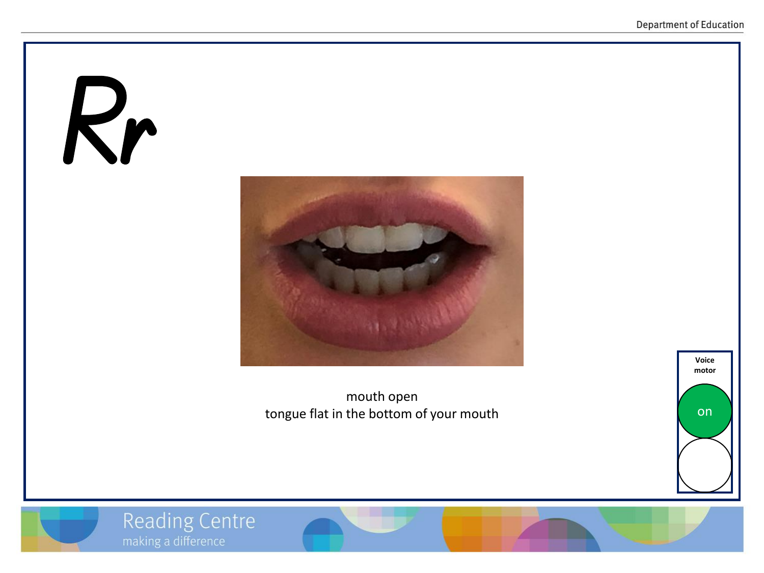# Rr



mouth open tongue flat in the bottom of your mouth



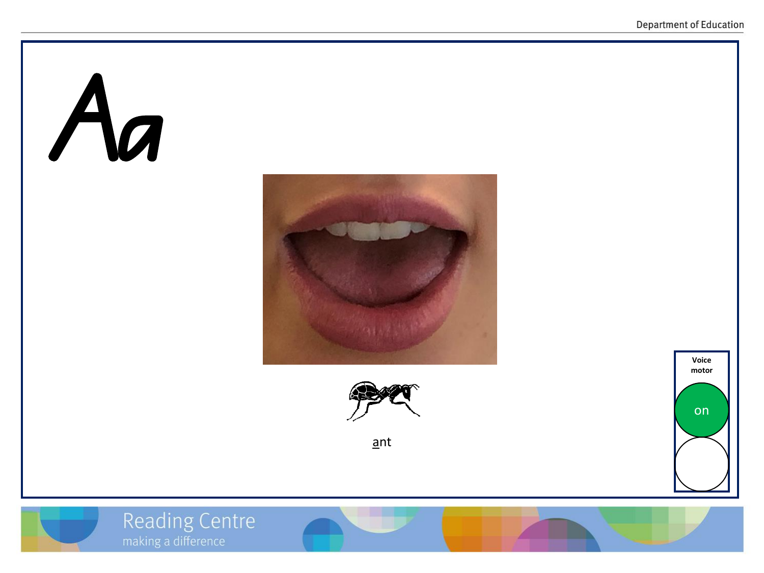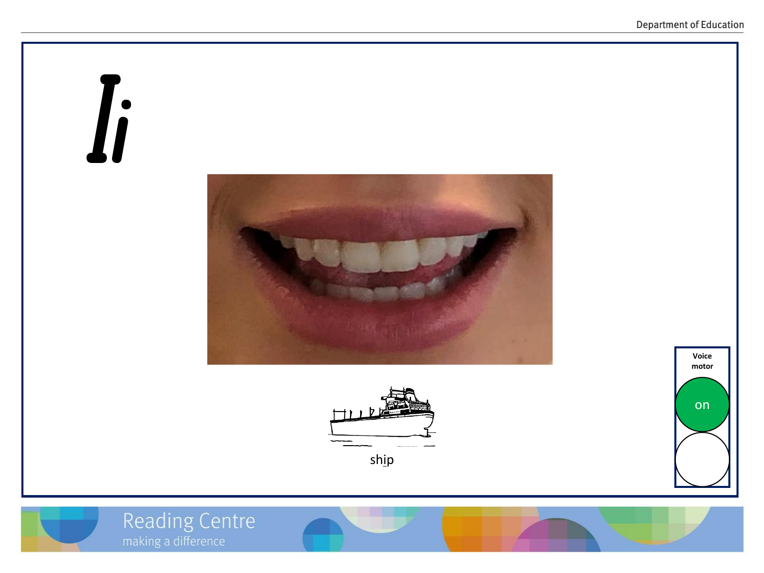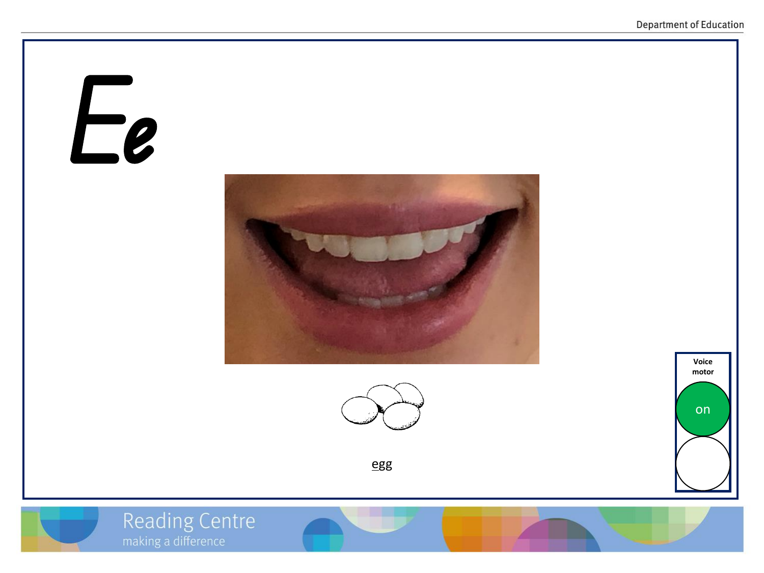## Ee





egg





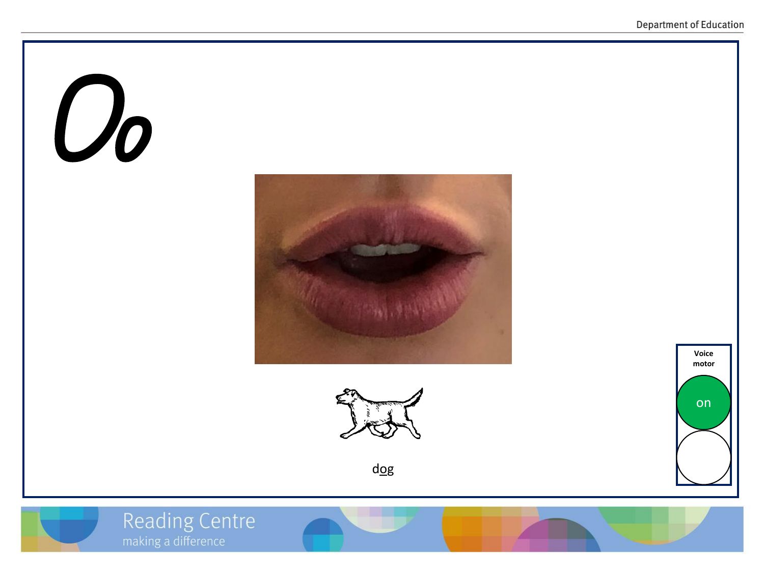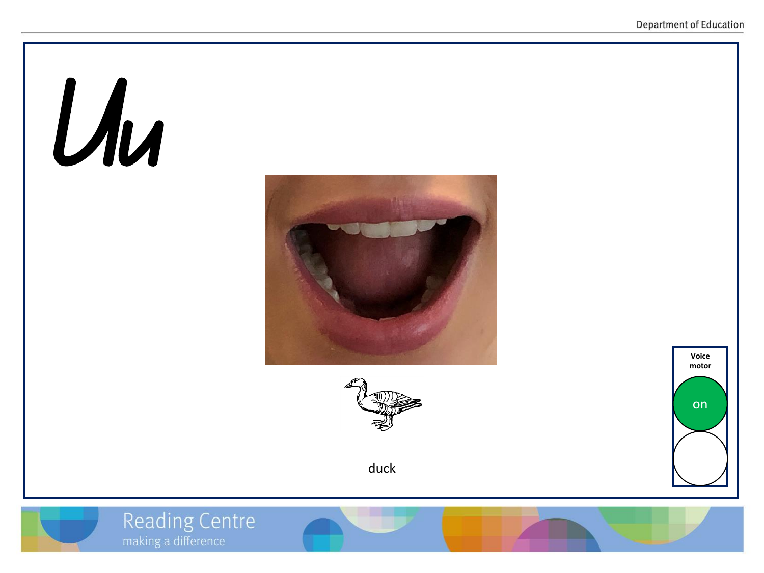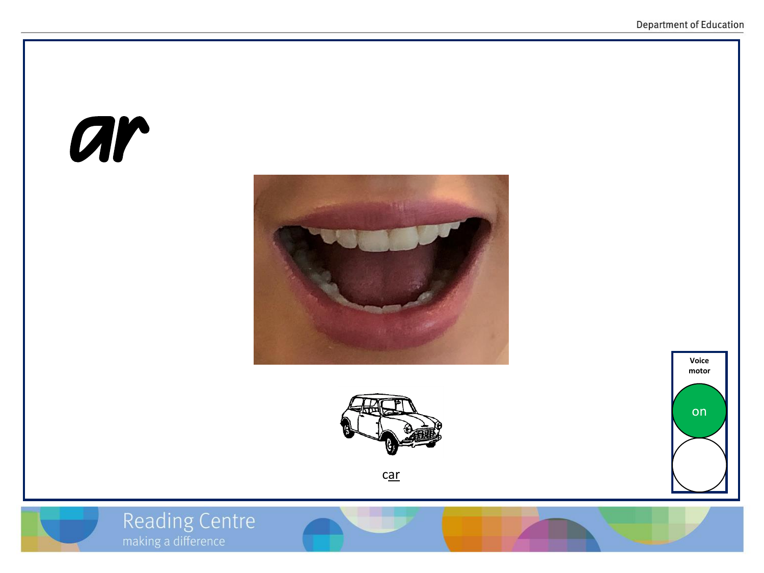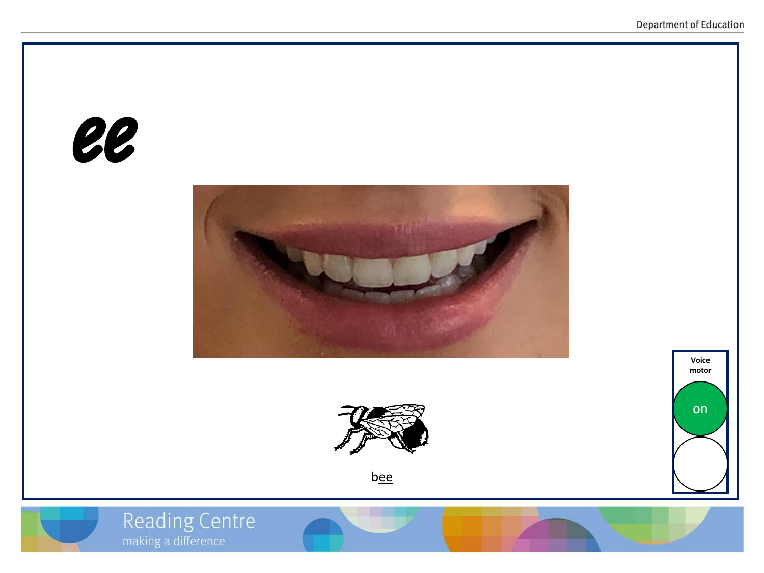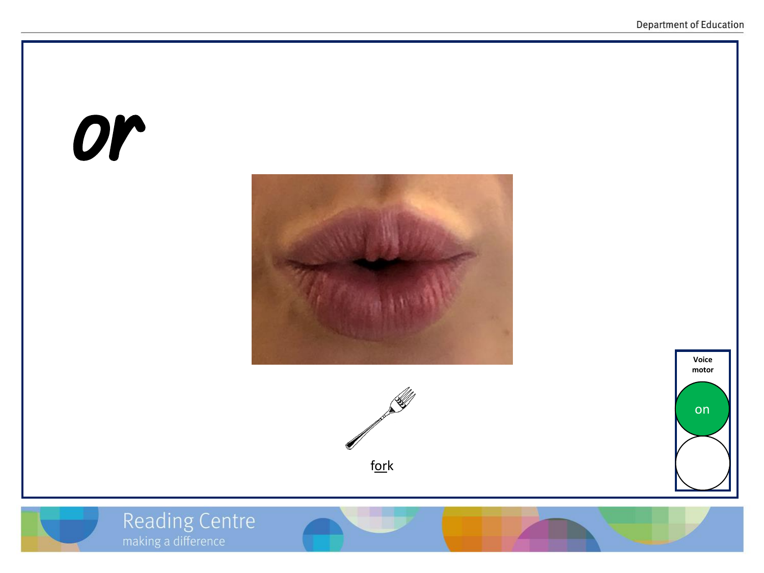